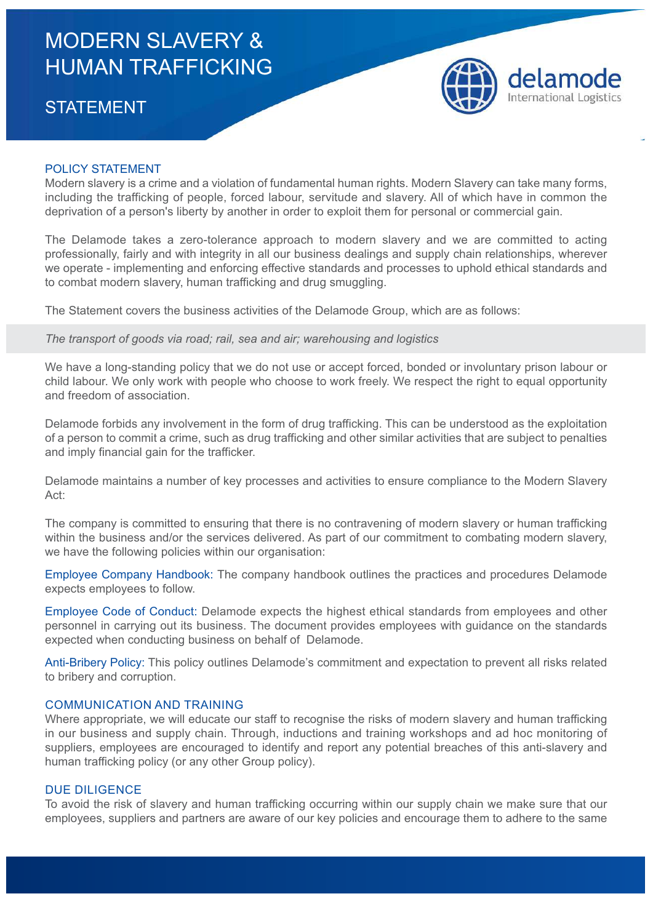# MODERN SLAVERY & HUMAN TRAFFICKING

## **STATEMENT**



#### POLICY STATEMENT

Modern slavery is a crime and a violation of fundamental human rights. Modern Slavery can take many forms, including the trafficking of people, forced labour, servitude and slavery. All of which have in common the deprivation of a person's liberty by another in order to exploit them for personal or commercial gain.

The Delamode takes a zero-tolerance approach to modern slavery and we are committed to acting professionally, fairly and with integrity in all our business dealings and supply chain relationships, wherever we operate - implementing and enforcing effective standards and processes to uphold ethical standards and to combat modern slavery, human trafficking and drug smuggling.

The Statement covers the business activities of the Delamode Group, which are as follows:

*The transport of goods via road; rail, sea and air; warehousing and logistics*

We have a long-standing policy that we do not use or accept forced, bonded or involuntary prison labour or child labour. We only work with people who choose to work freely. We respect the right to equal opportunity and freedom of association.

Delamode forbids any involvement in the form of drug trafficking. This can be understood as the exploitation of a person to commit a crime, such as drug trafficking and other similar activities that are subject to penalties and imply financial gain for the trafficker.

Delamode maintains a number of key processes and activities to ensure compliance to the Modern Slavery Act:

The company is committed to ensuring that there is no contravening of modern slavery or human trafficking within the business and/or the services delivered. As part of our commitment to combating modern slavery, we have the following policies within our organisation:

Employee Company Handbook: The company handbook outlines the practices and procedures Delamode expects employees to follow.

Employee Code of Conduct: Delamode expects the highest ethical standards from employees and other personnel in carrying out its business. The document provides employees with guidance on the standards expected when conducting business on behalf of Delamode.

Anti-Bribery Policy: This policy outlines Delamode's commitment and expectation to prevent all risks related to bribery and corruption.

#### COMMUNICATION AND TRAINING

Where appropriate, we will educate our staff to recognise the risks of modern slavery and human trafficking in our business and supply chain. Through, inductions and training workshops and ad hoc monitoring of suppliers, employees are encouraged to identify and report any potential breaches of this anti-slavery and human trafficking policy (or any other Group policy).

#### DUE DILIGENCE

To avoid the risk of slavery and human trafficking occurring within our supply chain we make sure that our employees, suppliers and partners are aware of our key policies and encourage them to adhere to the same